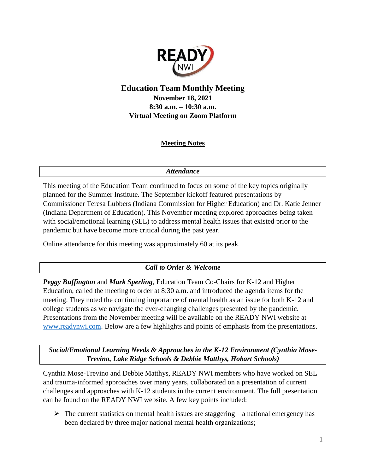

# **Education Team Monthly Meeting November 18, 2021 8:30 a.m. – 10:30 a.m. Virtual Meeting on Zoom Platform**

### **Meeting Notes**

### *Attendance*

This meeting of the Education Team continued to focus on some of the key topics originally planned for the Summer Institute. The September kickoff featured presentations by Commissioner Teresa Lubbers (Indiana Commission for Higher Education) and Dr. Katie Jenner (Indiana Department of Education). This November meeting explored approaches being taken with social/emotional learning (SEL) to address mental health issues that existed prior to the pandemic but have become more critical during the past year.

Online attendance for this meeting was approximately 60 at its peak.

### *Call to Order & Welcome*

*Peggy Buffington* and *Mark Sperling*, Education Team Co-Chairs for K-12 and Higher Education, called the meeting to order at 8:30 a.m. and introduced the agenda items for the meeting. They noted the continuing importance of mental health as an issue for both K-12 and college students as we navigate the ever-changing challenges presented by the pandemic. Presentations from the November meeting will be available on the READY NWI website at [www.readynwi.com.](http://www.readynwi.com/) Below are a few highlights and points of emphasis from the presentations.

*Social/Emotional Learning Needs & Approaches in the K-12 Environment (Cynthia Mose-Trevino, Lake Ridge Schools & Debbie Matthys, Hobart Schools)*

Cynthia Mose-Trevino and Debbie Matthys, READY NWI members who have worked on SEL and trauma-informed approaches over many years, collaborated on a presentation of current challenges and approaches with K-12 students in the current environment. The full presentation can be found on the READY NWI website. A few key points included:

 $\triangleright$  The current statistics on mental health issues are staggering – a national emergency has been declared by three major national mental health organizations;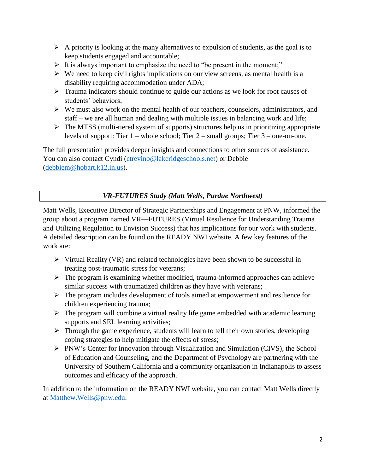- $\triangleright$  A priority is looking at the many alternatives to expulsion of students, as the goal is to keep students engaged and accountable;
- $\triangleright$  It is always important to emphasize the need to "be present in the moment;"
- $\triangleright$  We need to keep civil rights implications on our view screens, as mental health is a disability requiring accommodation under ADA;
- $\triangleright$  Trauma indicators should continue to guide our actions as we look for root causes of students' behaviors;
- $\triangleright$  We must also work on the mental health of our teachers, counselors, administrators, and staff – we are all human and dealing with multiple issues in balancing work and life;
- $\triangleright$  The MTSS (multi-tiered system of supports) structures help us in prioritizing appropriate levels of support: Tier  $1$  – whole school; Tier  $2$  – small groups; Tier  $3$  – one-on-one.

The full presentation provides deeper insights and connections to other sources of assistance. You can also contact Cyndi [\(ctrevino@lakeridgeschools.net\)](mailto:ctrevino@lakeridgeschools.net) or Debbie [\(debbiem@hobart.k12.in.us\)](mailto:debbiem@hobart.k12.in.us).

# *VR-FUTURES Study (Matt Wells, Purdue Northwest)*

Matt Wells, Executive Director of Strategic Partnerships and Engagement at PNW, informed the group about a program named VR—FUTURES (Virtual Resilience for Understanding Trauma and Utilizing Regulation to Envision Success) that has implications for our work with students. A detailed description can be found on the READY NWI website. A few key features of the work are:

- $\triangleright$  Virtual Reality (VR) and related technologies have been shown to be successful in treating post-traumatic stress for veterans;
- $\triangleright$  The program is examining whether modified, trauma-informed approaches can achieve similar success with traumatized children as they have with veterans;
- $\triangleright$  The program includes development of tools aimed at empowerment and resilience for children experiencing trauma;
- $\triangleright$  The program will combine a virtual reality life game embedded with academic learning supports and SEL learning activities;
- $\triangleright$  Through the game experience, students will learn to tell their own stories, developing coping strategies to help mitigate the effects of stress;
- PNW's Center for Innovation through Visualization and Simulation (CIVS), the School of Education and Counseling, and the Department of Psychology are partnering with the University of Southern California and a community organization in Indianapolis to assess outcomes and efficacy of the approach.

In addition to the information on the READY NWI website, you can contact Matt Wells directly at [Matthew.Wells@pnw.edu.](mailto:Matthew.Wells@pnw.edu)